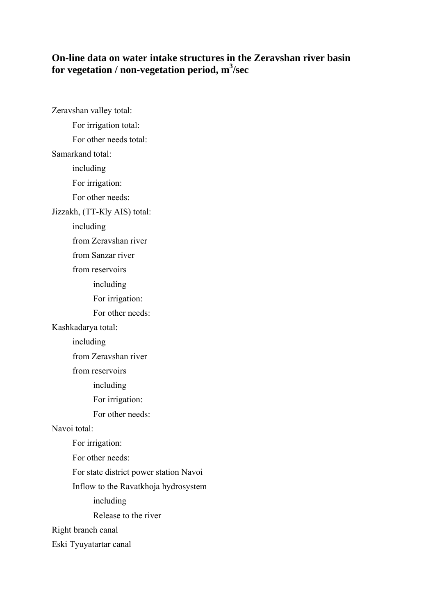## **On-line data on water intake structures in the Zeravshan river basin for vegetation / non-vegetation period, m<sup>3</sup> /sec**

Zeravshan valley total: For irrigation total: For other needs total: Samarkand total: including For irrigation: For other needs: Jizzakh, (ТТ-Кly AIS) total: including from Zeravshan river from Sanzar river from reservoirs including For irrigation: For other needs: Kashkadarya total: including from Zeravshan river from reservoirs including For irrigation: For other needs: Navoi total: For irrigation: For other needs: For state district power station Navoi Inflow to the Ravatkhoja hydrosystem including Release to the river Right branch canal Eski Tyuyatartar canal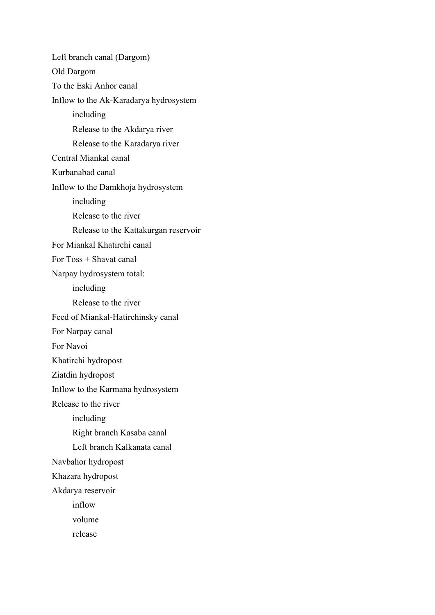Left branch canal (Dargom) Old Dargom To the Eski Anhor canal Inflow to the Ak-Karadarya hydrosystem including Release to the Akdarya river Release to the Karadarya river Central Miankal canal Kurbanabad canal Inflow to the Damkhoja hydrosystem including Release to the river Release to the Kattakurgan reservoir For Miankal Khatirchi canal For Toss + Shavat canal Narpay hydrosystem total: including Release to the river Feed of Miankal-Hatirchinsky canal For Narpay canal For Navoi Khatirchi hydropost Ziatdin hydropost Inflow to the Karmana hydrosystem Release to the river including Right branch Kasaba canal Left branch Kalkanata canal Navbahor hydropost Khazara hydropost Akdarya reservoir inflow volume release